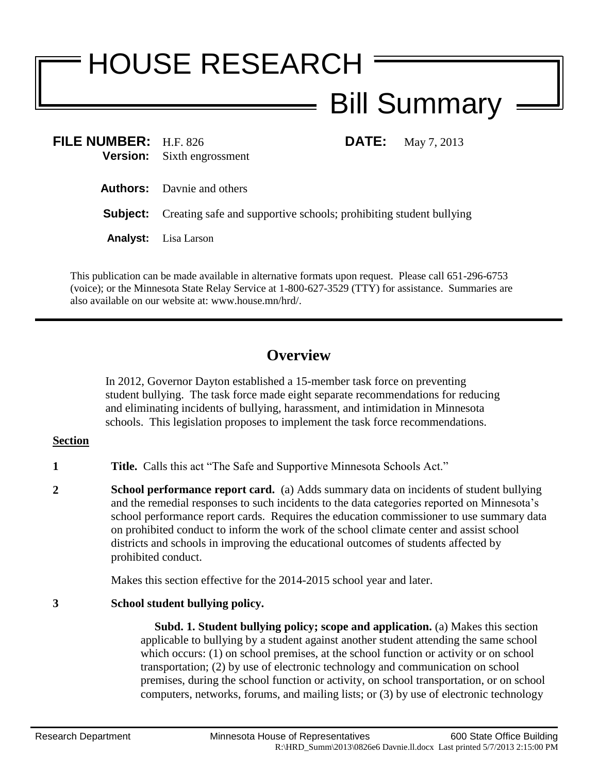# HOUSE RESEARCH Bill Summary

| FILE NUMBER: H.F. 826 |                                   |
|-----------------------|-----------------------------------|
|                       | <b>Version:</b> Sixth engrossment |

**FILMAY** 7, 2013

**Authors:** Davnie and others

**Subject:** Creating safe and supportive schools; prohibiting student bullying

**Analyst:** Lisa Larson

This publication can be made available in alternative formats upon request. Please call 651-296-6753 (voice); or the Minnesota State Relay Service at 1-800-627-3529 (TTY) for assistance. Summaries are also available on our website at: www.house.mn/hrd/.

# **Overview**

In 2012, Governor Dayton established a 15-member task force on preventing student bullying. The task force made eight separate recommendations for reducing and eliminating incidents of bullying, harassment, and intimidation in Minnesota schools. This legislation proposes to implement the task force recommendations.

## **Section**

- **1 Title.** Calls this act "The Safe and Supportive Minnesota Schools Act."
- **2 School performance report card.** (a) Adds summary data on incidents of student bullying and the remedial responses to such incidents to the data categories reported on Minnesota's school performance report cards. Requires the education commissioner to use summary data on prohibited conduct to inform the work of the school climate center and assist school districts and schools in improving the educational outcomes of students affected by prohibited conduct.

Makes this section effective for the 2014-2015 school year and later.

# **3 School student bullying policy.**

 **Subd. 1. Student bullying policy; scope and application.** (a) Makes this section applicable to bullying by a student against another student attending the same school which occurs: (1) on school premises, at the school function or activity or on school transportation; (2) by use of electronic technology and communication on school premises, during the school function or activity, on school transportation, or on school computers, networks, forums, and mailing lists; or (3) by use of electronic technology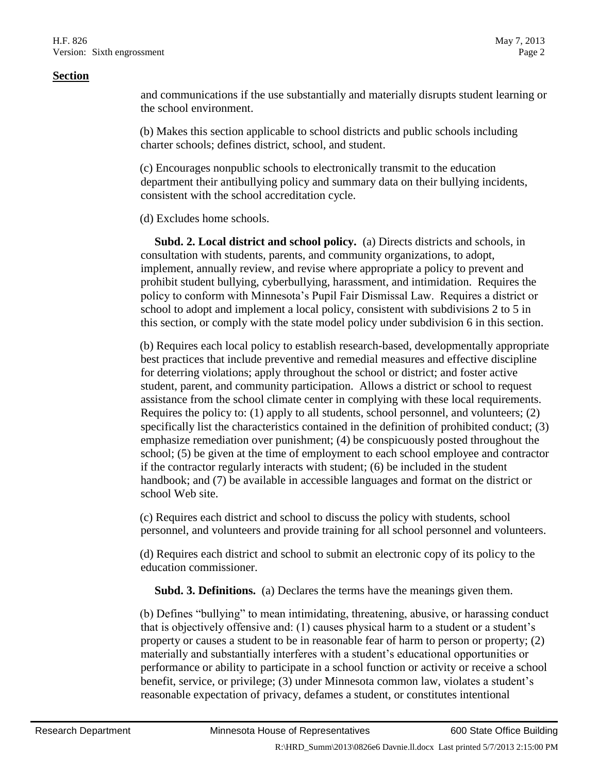and communications if the use substantially and materially disrupts student learning or the school environment.

(b) Makes this section applicable to school districts and public schools including charter schools; defines district, school, and student.

(c) Encourages nonpublic schools to electronically transmit to the education department their antibullying policy and summary data on their bullying incidents, consistent with the school accreditation cycle.

(d) Excludes home schools.

 **Subd. 2. Local district and school policy.** (a) Directs districts and schools, in consultation with students, parents, and community organizations, to adopt, implement, annually review, and revise where appropriate a policy to prevent and prohibit student bullying, cyberbullying, harassment, and intimidation. Requires the policy to conform with Minnesota's Pupil Fair Dismissal Law. Requires a district or school to adopt and implement a local policy, consistent with subdivisions 2 to 5 in this section, or comply with the state model policy under subdivision 6 in this section.

(b) Requires each local policy to establish research-based, developmentally appropriate best practices that include preventive and remedial measures and effective discipline for deterring violations; apply throughout the school or district; and foster active student, parent, and community participation. Allows a district or school to request assistance from the school climate center in complying with these local requirements. Requires the policy to: (1) apply to all students, school personnel, and volunteers; (2) specifically list the characteristics contained in the definition of prohibited conduct; (3) emphasize remediation over punishment; (4) be conspicuously posted throughout the school; (5) be given at the time of employment to each school employee and contractor if the contractor regularly interacts with student; (6) be included in the student handbook; and (7) be available in accessible languages and format on the district or school Web site.

(c) Requires each district and school to discuss the policy with students, school personnel, and volunteers and provide training for all school personnel and volunteers.

(d) Requires each district and school to submit an electronic copy of its policy to the education commissioner.

**Subd. 3. Definitions.** (a) Declares the terms have the meanings given them.

(b) Defines "bullying" to mean intimidating, threatening, abusive, or harassing conduct that is objectively offensive and: (1) causes physical harm to a student or a student's property or causes a student to be in reasonable fear of harm to person or property; (2) materially and substantially interferes with a student's educational opportunities or performance or ability to participate in a school function or activity or receive a school benefit, service, or privilege; (3) under Minnesota common law, violates a student's reasonable expectation of privacy, defames a student, or constitutes intentional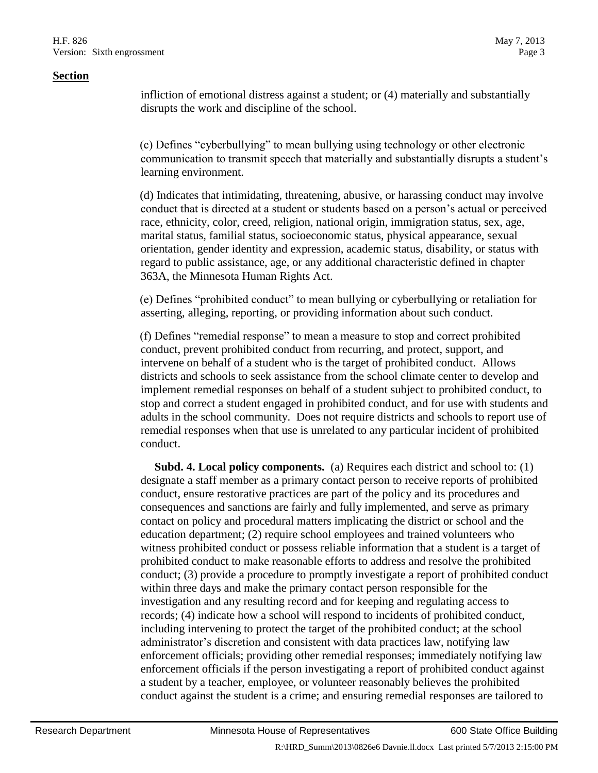infliction of emotional distress against a student; or (4) materially and substantially disrupts the work and discipline of the school.

(c) Defines "cyberbullying" to mean bullying using technology or other electronic communication to transmit speech that materially and substantially disrupts a student's learning environment.

(d) Indicates that intimidating, threatening, abusive, or harassing conduct may involve conduct that is directed at a student or students based on a person's actual or perceived race, ethnicity, color, creed, religion, national origin, immigration status, sex, age, marital status, familial status, socioeconomic status, physical appearance, sexual orientation, gender identity and expression, academic status, disability, or status with regard to public assistance, age, or any additional characteristic defined in chapter 363A, the Minnesota Human Rights Act.

(e) Defines "prohibited conduct" to mean bullying or cyberbullying or retaliation for asserting, alleging, reporting, or providing information about such conduct.

(f) Defines "remedial response" to mean a measure to stop and correct prohibited conduct, prevent prohibited conduct from recurring, and protect, support, and intervene on behalf of a student who is the target of prohibited conduct. Allows districts and schools to seek assistance from the school climate center to develop and implement remedial responses on behalf of a student subject to prohibited conduct, to stop and correct a student engaged in prohibited conduct, and for use with students and adults in the school community. Does not require districts and schools to report use of remedial responses when that use is unrelated to any particular incident of prohibited conduct.

 **Subd. 4. Local policy components.** (a) Requires each district and school to: (1) designate a staff member as a primary contact person to receive reports of prohibited conduct, ensure restorative practices are part of the policy and its procedures and consequences and sanctions are fairly and fully implemented, and serve as primary contact on policy and procedural matters implicating the district or school and the education department; (2) require school employees and trained volunteers who witness prohibited conduct or possess reliable information that a student is a target of prohibited conduct to make reasonable efforts to address and resolve the prohibited conduct; (3) provide a procedure to promptly investigate a report of prohibited conduct within three days and make the primary contact person responsible for the investigation and any resulting record and for keeping and regulating access to records; (4) indicate how a school will respond to incidents of prohibited conduct, including intervening to protect the target of the prohibited conduct; at the school administrator's discretion and consistent with data practices law, notifying law enforcement officials; providing other remedial responses; immediately notifying law enforcement officials if the person investigating a report of prohibited conduct against a student by a teacher, employee, or volunteer reasonably believes the prohibited conduct against the student is a crime; and ensuring remedial responses are tailored to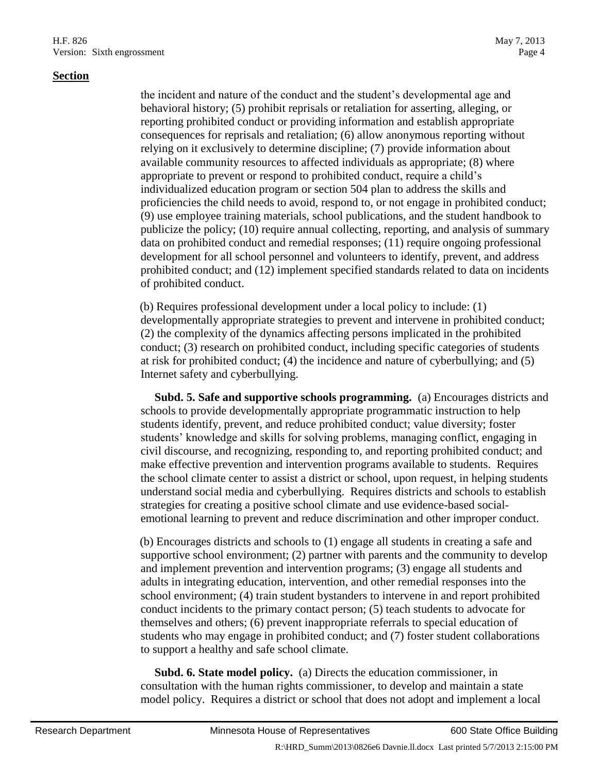the incident and nature of the conduct and the student's developmental age and behavioral history; (5) prohibit reprisals or retaliation for asserting, alleging, or reporting prohibited conduct or providing information and establish appropriate consequences for reprisals and retaliation; (6) allow anonymous reporting without relying on it exclusively to determine discipline; (7) provide information about available community resources to affected individuals as appropriate; (8) where appropriate to prevent or respond to prohibited conduct, require a child's individualized education program or section 504 plan to address the skills and proficiencies the child needs to avoid, respond to, or not engage in prohibited conduct; (9) use employee training materials, school publications, and the student handbook to publicize the policy; (10) require annual collecting, reporting, and analysis of summary data on prohibited conduct and remedial responses; (11) require ongoing professional development for all school personnel and volunteers to identify, prevent, and address prohibited conduct; and (12) implement specified standards related to data on incidents of prohibited conduct.

(b) Requires professional development under a local policy to include: (1) developmentally appropriate strategies to prevent and intervene in prohibited conduct; (2) the complexity of the dynamics affecting persons implicated in the prohibited conduct; (3) research on prohibited conduct, including specific categories of students at risk for prohibited conduct; (4) the incidence and nature of cyberbullying; and (5) Internet safety and cyberbullying.

 **Subd. 5. Safe and supportive schools programming.** (a) Encourages districts and schools to provide developmentally appropriate programmatic instruction to help students identify, prevent, and reduce prohibited conduct; value diversity; foster students' knowledge and skills for solving problems, managing conflict, engaging in civil discourse, and recognizing, responding to, and reporting prohibited conduct; and make effective prevention and intervention programs available to students. Requires the school climate center to assist a district or school, upon request, in helping students understand social media and cyberbullying. Requires districts and schools to establish strategies for creating a positive school climate and use evidence-based socialemotional learning to prevent and reduce discrimination and other improper conduct.

(b) Encourages districts and schools to (1) engage all students in creating a safe and supportive school environment; (2) partner with parents and the community to develop and implement prevention and intervention programs; (3) engage all students and adults in integrating education, intervention, and other remedial responses into the school environment; (4) train student bystanders to intervene in and report prohibited conduct incidents to the primary contact person; (5) teach students to advocate for themselves and others; (6) prevent inappropriate referrals to special education of students who may engage in prohibited conduct; and (7) foster student collaborations to support a healthy and safe school climate.

 **Subd. 6. State model policy.** (a) Directs the education commissioner, in consultation with the human rights commissioner, to develop and maintain a state model policy. Requires a district or school that does not adopt and implement a local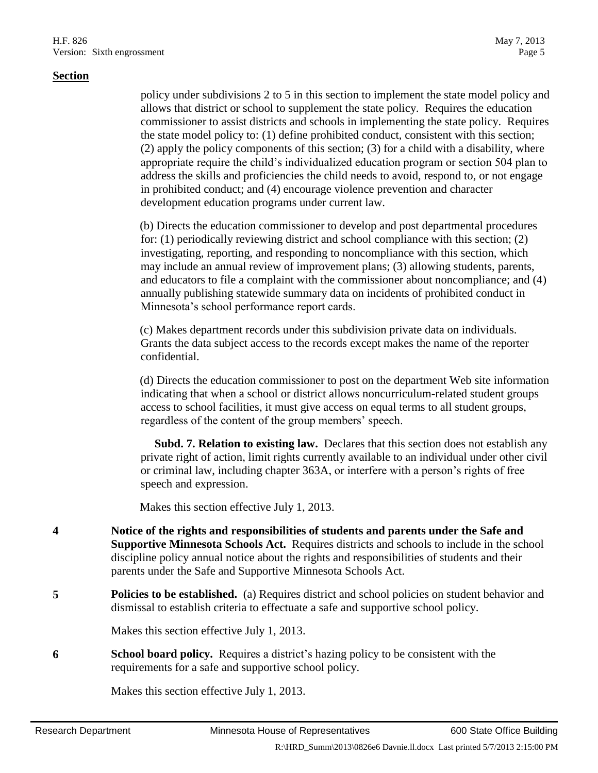policy under subdivisions 2 to 5 in this section to implement the state model policy and allows that district or school to supplement the state policy. Requires the education commissioner to assist districts and schools in implementing the state policy. Requires the state model policy to: (1) define prohibited conduct, consistent with this section; (2) apply the policy components of this section; (3) for a child with a disability, where appropriate require the child's individualized education program or section 504 plan to address the skills and proficiencies the child needs to avoid, respond to, or not engage in prohibited conduct; and (4) encourage violence prevention and character development education programs under current law.

(b) Directs the education commissioner to develop and post departmental procedures for: (1) periodically reviewing district and school compliance with this section; (2) investigating, reporting, and responding to noncompliance with this section, which may include an annual review of improvement plans; (3) allowing students, parents, and educators to file a complaint with the commissioner about noncompliance; and (4) annually publishing statewide summary data on incidents of prohibited conduct in Minnesota's school performance report cards.

(c) Makes department records under this subdivision private data on individuals. Grants the data subject access to the records except makes the name of the reporter confidential.

(d) Directs the education commissioner to post on the department Web site information indicating that when a school or district allows noncurriculum-related student groups access to school facilities, it must give access on equal terms to all student groups, regardless of the content of the group members' speech.

 **Subd. 7. Relation to existing law.** Declares that this section does not establish any private right of action, limit rights currently available to an individual under other civil or criminal law, including chapter 363A, or interfere with a person's rights of free speech and expression.

Makes this section effective July 1, 2013.

- **4 Notice of the rights and responsibilities of students and parents under the Safe and Supportive Minnesota Schools Act.** Requires districts and schools to include in the school discipline policy annual notice about the rights and responsibilities of students and their parents under the Safe and Supportive Minnesota Schools Act.
- **5 Policies to be established.** (a) Requires district and school policies on student behavior and dismissal to establish criteria to effectuate a safe and supportive school policy.

Makes this section effective July 1, 2013.

**6 School board policy.** Requires a district's hazing policy to be consistent with the requirements for a safe and supportive school policy.

Makes this section effective July 1, 2013.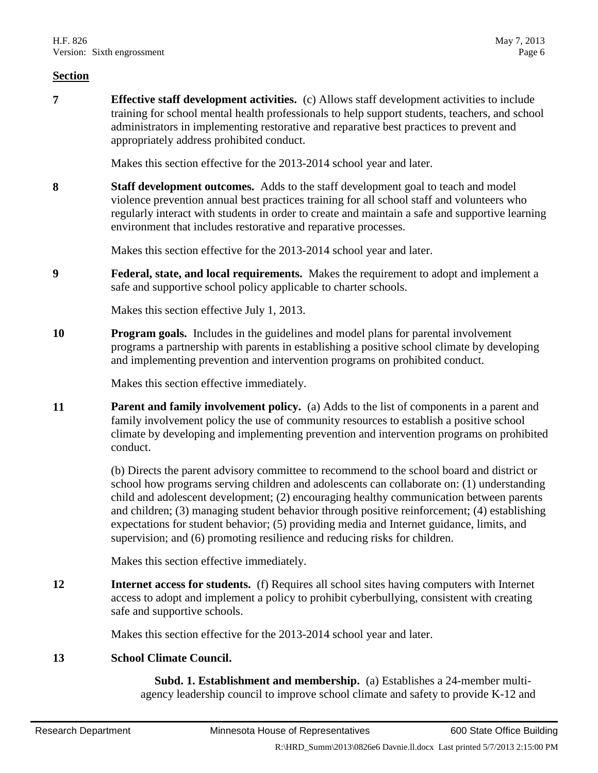**7 Effective staff development activities.** (c) Allows staff development activities to include training for school mental health professionals to help support students, teachers, and school administrators in implementing restorative and reparative best practices to prevent and appropriately address prohibited conduct.

Makes this section effective for the 2013-2014 school year and later.

**8 Staff development outcomes.** Adds to the staff development goal to teach and model violence prevention annual best practices training for all school staff and volunteers who regularly interact with students in order to create and maintain a safe and supportive learning environment that includes restorative and reparative processes.

Makes this section effective for the 2013-2014 school year and later.

**9 Federal, state, and local requirements.** Makes the requirement to adopt and implement a safe and supportive school policy applicable to charter schools.

Makes this section effective July 1, 2013.

**10 Program goals.** Includes in the guidelines and model plans for parental involvement programs a partnership with parents in establishing a positive school climate by developing and implementing prevention and intervention programs on prohibited conduct.

Makes this section effective immediately.

**11 Parent and family involvement policy.** (a) Adds to the list of components in a parent and family involvement policy the use of community resources to establish a positive school climate by developing and implementing prevention and intervention programs on prohibited conduct.

> (b) Directs the parent advisory committee to recommend to the school board and district or school how programs serving children and adolescents can collaborate on: (1) understanding child and adolescent development; (2) encouraging healthy communication between parents and children; (3) managing student behavior through positive reinforcement; (4) establishing expectations for student behavior; (5) providing media and Internet guidance, limits, and supervision; and (6) promoting resilience and reducing risks for children.

Makes this section effective immediately.

**12 Internet access for students.** (f) Requires all school sites having computers with Internet access to adopt and implement a policy to prohibit cyberbullying, consistent with creating safe and supportive schools.

Makes this section effective for the 2013-2014 school year and later.

## **13 School Climate Council.**

 **Subd. 1. Establishment and membership.** (a) Establishes a 24-member multiagency leadership council to improve school climate and safety to provide K-12 and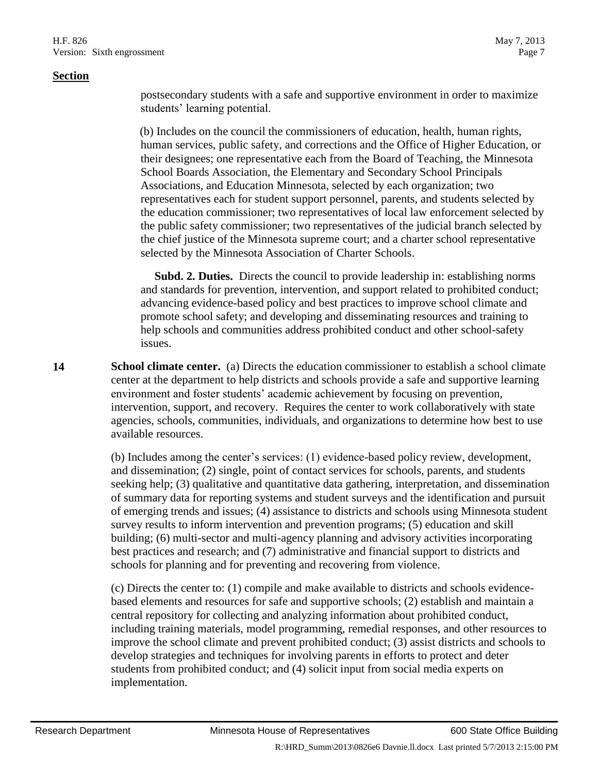postsecondary students with a safe and supportive environment in order to maximize students' learning potential.

(b) Includes on the council the commissioners of education, health, human rights, human services, public safety, and corrections and the Office of Higher Education, or their designees; one representative each from the Board of Teaching, the Minnesota School Boards Association, the Elementary and Secondary School Principals Associations, and Education Minnesota, selected by each organization; two representatives each for student support personnel, parents, and students selected by the education commissioner; two representatives of local law enforcement selected by the public safety commissioner; two representatives of the judicial branch selected by the chief justice of the Minnesota supreme court; and a charter school representative selected by the Minnesota Association of Charter Schools.

 **Subd. 2. Duties.** Directs the council to provide leadership in: establishing norms and standards for prevention, intervention, and support related to prohibited conduct; advancing evidence-based policy and best practices to improve school climate and promote school safety; and developing and disseminating resources and training to help schools and communities address prohibited conduct and other school-safety issues.

**14 School climate center.** (a) Directs the education commissioner to establish a school climate center at the department to help districts and schools provide a safe and supportive learning environment and foster students' academic achievement by focusing on prevention, intervention, support, and recovery. Requires the center to work collaboratively with state agencies, schools, communities, individuals, and organizations to determine how best to use available resources.

> (b) Includes among the center's services: (1) evidence-based policy review, development, and dissemination; (2) single, point of contact services for schools, parents, and students seeking help; (3) qualitative and quantitative data gathering, interpretation, and dissemination of summary data for reporting systems and student surveys and the identification and pursuit of emerging trends and issues; (4) assistance to districts and schools using Minnesota student survey results to inform intervention and prevention programs; (5) education and skill building; (6) multi-sector and multi-agency planning and advisory activities incorporating best practices and research; and (7) administrative and financial support to districts and schools for planning and for preventing and recovering from violence.

> (c) Directs the center to: (1) compile and make available to districts and schools evidencebased elements and resources for safe and supportive schools; (2) establish and maintain a central repository for collecting and analyzing information about prohibited conduct, including training materials, model programming, remedial responses, and other resources to improve the school climate and prevent prohibited conduct; (3) assist districts and schools to develop strategies and techniques for involving parents in efforts to protect and deter students from prohibited conduct; and (4) solicit input from social media experts on implementation.